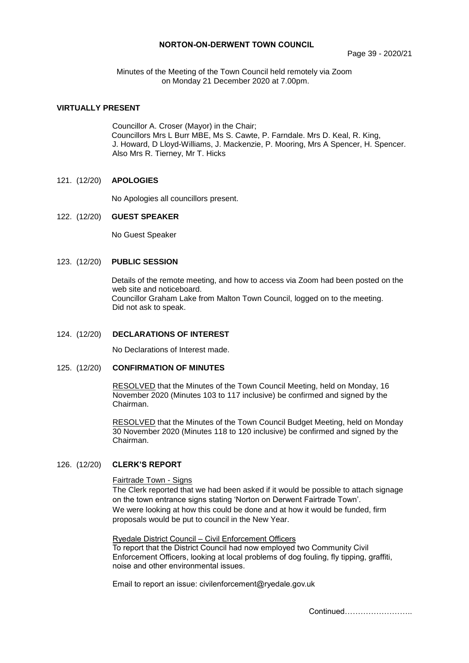## **NORTON-ON-DERWENT TOWN COUNCIL**

Minutes of the Meeting of the Town Council held remotely via Zoom on Monday 21 December 2020 at 7.00pm.

## **VIRTUALLY PRESENT**

Councillor A. Croser (Mayor) in the Chair; Councillors Mrs L Burr MBE, Ms S. Cawte, P. Farndale. Mrs D. Keal, R. King, J. Howard, D Lloyd-Williams, J. Mackenzie, P. Mooring, Mrs A Spencer, H. Spencer. Also Mrs R. Tierney, Mr T. Hicks

## 121. (12/20) **APOLOGIES**

No Apologies all councillors present.

### 122. (12/20) **GUEST SPEAKER**

No Guest Speaker

## 123. (12/20) **PUBLIC SESSION**

Details of the remote meeting, and how to access via Zoom had been posted on the web site and noticeboard. Councillor Graham Lake from Malton Town Council, logged on to the meeting. Did not ask to speak.

### 124. (12/20) **DECLARATIONS OF INTEREST**

No Declarations of Interest made.

### 125. (12/20) **CONFIRMATION OF MINUTES**

RESOLVED that the Minutes of the Town Council Meeting, held on Monday, 16 November 2020 (Minutes 103 to 117 inclusive) be confirmed and signed by the Chairman.

RESOLVED that the Minutes of the Town Council Budget Meeting, held on Monday 30 November 2020 (Minutes 118 to 120 inclusive) be confirmed and signed by the Chairman.

## 126. (12/20) **CLERK'S REPORT**

## Fairtrade Town - Signs

 The Clerk reported that we had been asked if it would be possible to attach signage on the town entrance signs stating 'Norton on Derwent Fairtrade Town'. We were looking at how this could be done and at how it would be funded, firm proposals would be put to council in the New Year.

Ryedale District Council – Civil Enforcement Officers To report that the District Council had now employed two Community Civil Enforcement Officers, looking at local problems of dog fouling, fly tipping, graffiti, noise and other environmental issues.

Email to report an issue: civilenforcement@ryedale.gov.uk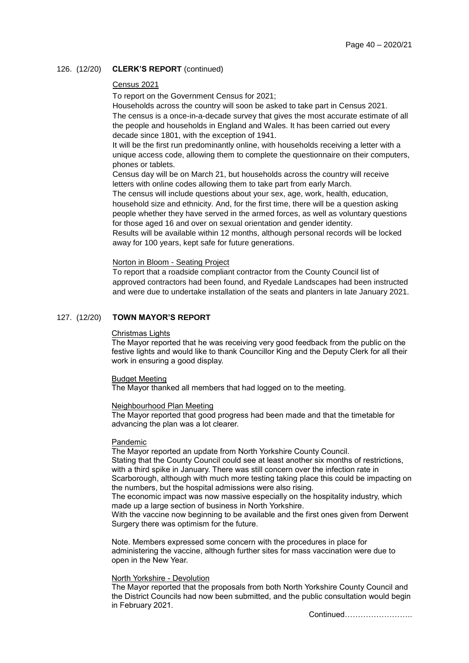### 126. (12/20) **CLERK'S REPORT** (continued)

### Census 2021

To report on the Government Census for 2021;

Households across the country will soon be asked to take part in Census 2021. The census is a once-in-a-decade survey that gives the most accurate estimate of all the people and households in England and Wales. It has been carried out every decade since 1801, with the exception of 1941.

It will be the first run predominantly online, with households receiving a letter with a unique access code, allowing them to complete the questionnaire on their computers, phones or tablets.

Census day will be on March 21, but households across the country will receive letters with online codes allowing them to take part from early March.

The census will include questions about your sex, age, work, health, education, household size and ethnicity. And, for the first time, there will be a question asking people whether they have served in the armed forces, as well as voluntary questions for those aged 16 and over on sexual orientation and gender identity.

Results will be available within 12 months, although personal records will be locked away for 100 years, kept safe for future generations.

### Norton in Bloom - Seating Project

To report that a roadside compliant contractor from the County Council list of approved contractors had been found, and Ryedale Landscapes had been instructed and were due to undertake installation of the seats and planters in late January 2021.

## 127. (12/20) **TOWN MAYOR'S REPORT**

### Christmas Lights

The Mayor reported that he was receiving very good feedback from the public on the festive lights and would like to thank Councillor King and the Deputy Clerk for all their work in ensuring a good display.

#### Budget Meeting

The Mayor thanked all members that had logged on to the meeting.

#### Neighbourhood Plan Meeting

The Mayor reported that good progress had been made and that the timetable for advancing the plan was a lot clearer.

### Pandemic

The Mayor reported an update from North Yorkshire County Council. Stating that the County Council could see at least another six months of restrictions, with a third spike in January. There was still concern over the infection rate in Scarborough, although with much more testing taking place this could be impacting on the numbers, but the hospital admissions were also rising.

The economic impact was now massive especially on the hospitality industry, which made up a large section of business in North Yorkshire.

With the vaccine now beginning to be available and the first ones given from Derwent Surgery there was optimism for the future.

Note. Members expressed some concern with the procedures in place for administering the vaccine, although further sites for mass vaccination were due to open in the New Year.

#### North Yorkshire - Devolution

The Mayor reported that the proposals from both North Yorkshire County Council and the District Councils had now been submitted, and the public consultation would begin in February 2021.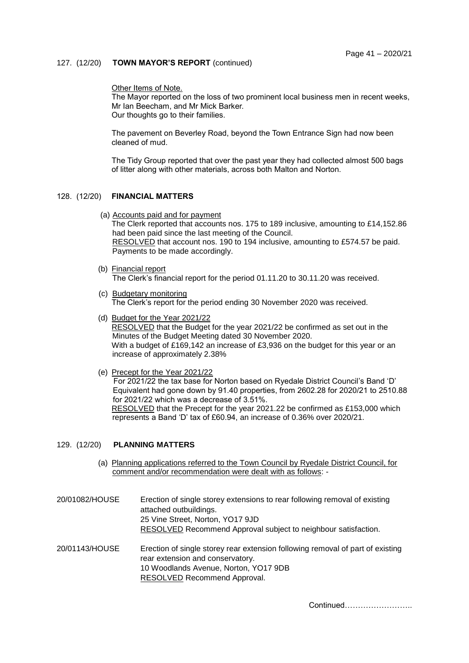## 127. (12/20) **TOWN MAYOR'S REPORT** (continued)

### Other Items of Note.

The Mayor reported on the loss of two prominent local business men in recent weeks, Mr Ian Beecham, and Mr Mick Barker. Our thoughts go to their families.

The pavement on Beverley Road, beyond the Town Entrance Sign had now been cleaned of mud.

The Tidy Group reported that over the past year they had collected almost 500 bags of litter along with other materials, across both Malton and Norton.

### 128. (12/20) **FINANCIAL MATTERS**

(a) Accounts paid and for payment

The Clerk reported that accounts nos. 175 to 189 inclusive, amounting to £14,152.86 had been paid since the last meeting of the Council. RESOLVED that account nos. 190 to 194 inclusive, amounting to £574.57 be paid. Payments to be made accordingly.

(b) Financial report

The Clerk's financial report for the period 01.11.20 to 30.11.20 was received.

- (c) Budgetary monitoring The Clerk's report for the period ending 30 November 2020 was received.
- (d) Budget for the Year 2021/22

RESOLVED that the Budget for the year 2021/22 be confirmed as set out in the Minutes of the Budget Meeting dated 30 November 2020. With a budget of £169,142 an increase of £3,936 on the budget for this year or an increase of approximately 2.38%

(e) Precept for the Year 2021/22

For 2021/22 the tax base for Norton based on Ryedale District Council's Band 'D' Equivalent had gone down by 91.40 properties, from 2602.28 for 2020/21 to 2510.88 for 2021/22 which was a decrease of 3.51%. RESOLVED that the Precept for the year 2021.22 be confirmed as £153,000 which represents a Band 'D' tax of £60.94, an increase of 0.36% over 2020/21.

129. (12/20) **PLANNING MATTERS**

- (a) Planning applications referred to the Town Council by Ryedale District Council, for comment and/or recommendation were dealt with as follows: -
- 20/01082/HOUSE Erection of single storey extensions to rear following removal of existing attached outbuildings. 25 Vine Street, Norton, YO17 9JD RESOLVED Recommend Approval subject to neighbour satisfaction.

20/01143/HOUSE Erection of single storey rear extension following removal of part of existing rear extension and conservatory. 10 Woodlands Avenue, Norton, YO17 9DB RESOLVED Recommend Approval.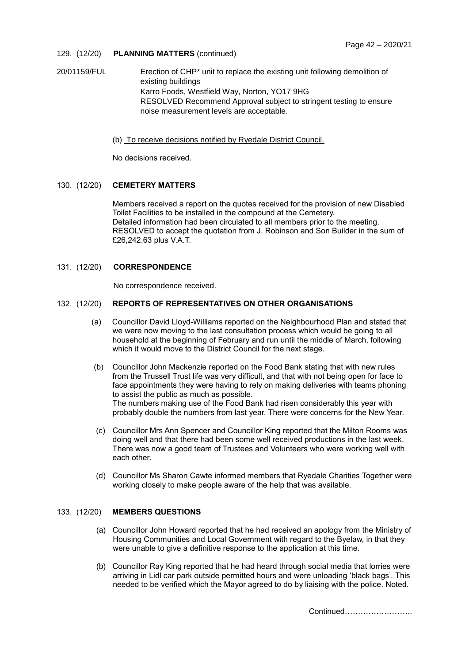## 129. (12/20) **PLANNING MATTERS** (continued)

20/01159/FUL Erection of CHP\* unit to replace the existing unit following demolition of existing buildings Karro Foods, Westfield Way, Norton, YO17 9HG RESOLVED Recommend Approval subject to stringent testing to ensure noise measurement levels are acceptable.

## (b) To receive decisions notified by Ryedale District Council.

No decisions received.

## 130. (12/20) **CEMETERY MATTERS**

Members received a report on the quotes received for the provision of new Disabled Toilet Facilities to be installed in the compound at the Cemetery. Detailed information had been circulated to all members prior to the meeting. RESOLVED to accept the quotation from J. Robinson and Son Builder in the sum of £26,242.63 plus V.A.T.

## 131. (12/20) **CORRESPONDENCE**

No correspondence received.

### 132. (12/20) **REPORTS OF REPRESENTATIVES ON OTHER ORGANISATIONS**

- (a) Councillor David Lloyd-Williams reported on the Neighbourhood Plan and stated that we were now moving to the last consultation process which would be going to all household at the beginning of February and run until the middle of March, following which it would move to the District Council for the next stage.
- (b) Councillor John Mackenzie reported on the Food Bank stating that with new rules from the Trussell Trust life was very difficult, and that with not being open for face to face appointments they were having to rely on making deliveries with teams phoning to assist the public as much as possible. The numbers making use of the Food Bank had risen considerably this year with probably double the numbers from last year. There were concerns for the New Year.
- (c) Councillor Mrs Ann Spencer and Councillor King reported that the Milton Rooms was doing well and that there had been some well received productions in the last week. There was now a good team of Trustees and Volunteers who were working well with each other.
- (d) Councillor Ms Sharon Cawte informed members that Ryedale Charities Together were working closely to make people aware of the help that was available.

## 133. (12/20) **MEMBERS QUESTIONS**

- (a) Councillor John Howard reported that he had received an apology from the Ministry of Housing Communities and Local Government with regard to the Byelaw, in that they were unable to give a definitive response to the application at this time.
- (b) Councillor Ray King reported that he had heard through social media that lorries were arriving in Lidl car park outside permitted hours and were unloading 'black bags'. This needed to be verified which the Mayor agreed to do by liaising with the police. Noted.